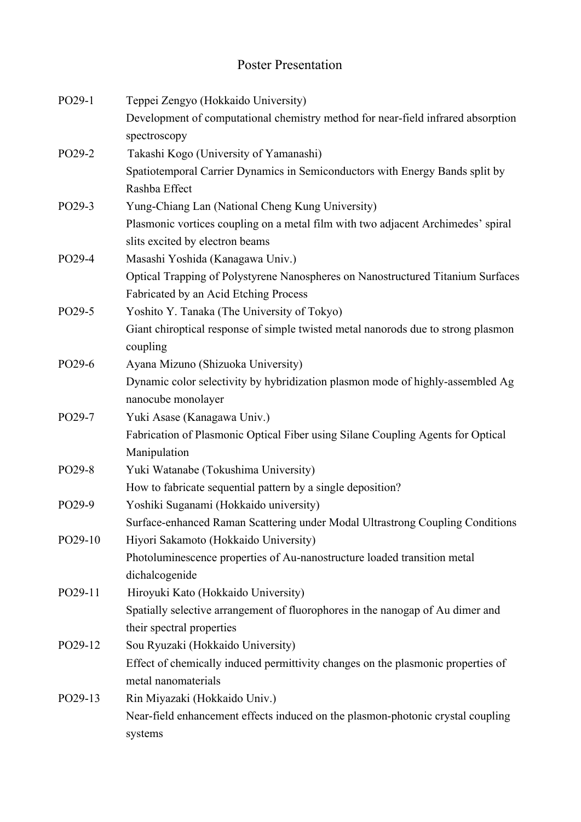## Poster Presentation

| PO29-1  | Teppei Zengyo (Hokkaido University)                                                           |
|---------|-----------------------------------------------------------------------------------------------|
|         | Development of computational chemistry method for near-field infrared absorption              |
|         | spectroscopy                                                                                  |
| PO29-2  | Takashi Kogo (University of Yamanashi)                                                        |
|         | Spatiotemporal Carrier Dynamics in Semiconductors with Energy Bands split by                  |
|         | Rashba Effect                                                                                 |
| PO29-3  | Yung-Chiang Lan (National Cheng Kung University)                                              |
|         | Plasmonic vortices coupling on a metal film with two adjacent Archimedes' spiral              |
|         | slits excited by electron beams                                                               |
| PO29-4  | Masashi Yoshida (Kanagawa Univ.)                                                              |
|         | Optical Trapping of Polystyrene Nanospheres on Nanostructured Titanium Surfaces               |
|         | Fabricated by an Acid Etching Process                                                         |
| PO29-5  | Yoshito Y. Tanaka (The University of Tokyo)                                                   |
|         | Giant chiroptical response of simple twisted metal nanorods due to strong plasmon<br>coupling |
| PO29-6  | Ayana Mizuno (Shizuoka University)                                                            |
|         | Dynamic color selectivity by hybridization plasmon mode of highly-assembled Ag                |
|         | nanocube monolayer                                                                            |
| PO29-7  | Yuki Asase (Kanagawa Univ.)                                                                   |
|         | Fabrication of Plasmonic Optical Fiber using Silane Coupling Agents for Optical               |
|         | Manipulation                                                                                  |
| PO29-8  | Yuki Watanabe (Tokushima University)                                                          |
|         | How to fabricate sequential pattern by a single deposition?                                   |
| PO29-9  | Yoshiki Suganami (Hokkaido university)                                                        |
|         | Surface-enhanced Raman Scattering under Modal Ultrastrong Coupling Conditions                 |
| PO29-10 | Hiyori Sakamoto (Hokkaido University)                                                         |
|         | Photoluminescence properties of Au-nanostructure loaded transition metal                      |
|         | dichalcogenide                                                                                |
| PO29-11 | Hiroyuki Kato (Hokkaido University)                                                           |
|         | Spatially selective arrangement of fluorophores in the nanogap of Au dimer and                |
|         | their spectral properties                                                                     |
| PO29-12 | Sou Ryuzaki (Hokkaido University)                                                             |
|         | Effect of chemically induced permittivity changes on the plasmonic properties of              |
|         | metal nanomaterials                                                                           |
| PO29-13 | Rin Miyazaki (Hokkaido Univ.)                                                                 |
|         | Near-field enhancement effects induced on the plasmon-photonic crystal coupling               |
|         | systems                                                                                       |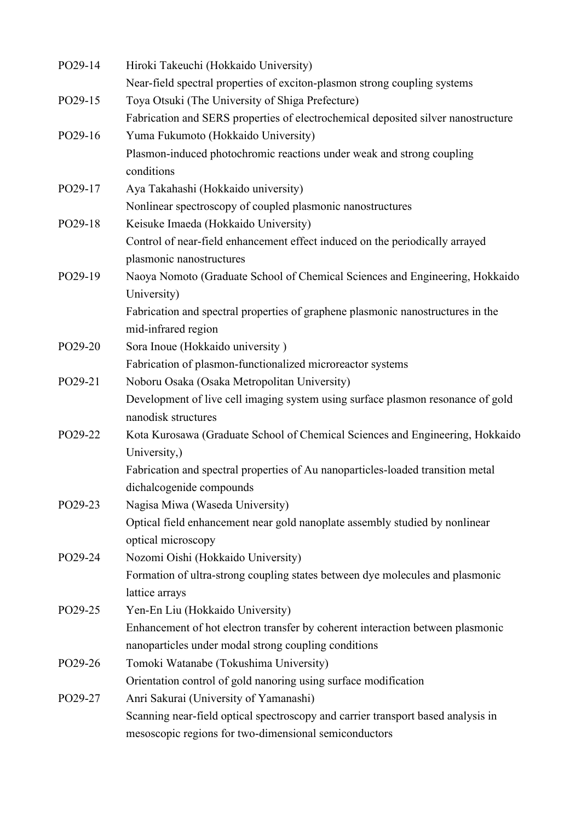| PO29-14 | Hiroki Takeuchi (Hokkaido University)                                             |
|---------|-----------------------------------------------------------------------------------|
|         | Near-field spectral properties of exciton-plasmon strong coupling systems         |
| PO29-15 | Toya Otsuki (The University of Shiga Prefecture)                                  |
|         | Fabrication and SERS properties of electrochemical deposited silver nanostructure |
| PO29-16 | Yuma Fukumoto (Hokkaido University)                                               |
|         | Plasmon-induced photochromic reactions under weak and strong coupling             |
|         | conditions                                                                        |
| PO29-17 | Aya Takahashi (Hokkaido university)                                               |
|         | Nonlinear spectroscopy of coupled plasmonic nanostructures                        |
| PO29-18 | Keisuke Imaeda (Hokkaido University)                                              |
|         | Control of near-field enhancement effect induced on the periodically arrayed      |
|         | plasmonic nanostructures                                                          |
| PO29-19 | Naoya Nomoto (Graduate School of Chemical Sciences and Engineering, Hokkaido      |
|         | University)                                                                       |
|         | Fabrication and spectral properties of graphene plasmonic nanostructures in the   |
|         | mid-infrared region                                                               |
| PO29-20 | Sora Inoue (Hokkaido university)                                                  |
|         | Fabrication of plasmon-functionalized microreactor systems                        |
| PO29-21 | Noboru Osaka (Osaka Metropolitan University)                                      |
|         | Development of live cell imaging system using surface plasmon resonance of gold   |
|         | nanodisk structures                                                               |
| PO29-22 | Kota Kurosawa (Graduate School of Chemical Sciences and Engineering, Hokkaido     |
|         | University,)                                                                      |
|         | Fabrication and spectral properties of Au nanoparticles-loaded transition metal   |
|         | dichalcogenide compounds                                                          |
| PO29-23 | Nagisa Miwa (Waseda University)                                                   |
|         | Optical field enhancement near gold nanoplate assembly studied by nonlinear       |
|         | optical microscopy                                                                |
| PO29-24 | Nozomi Oishi (Hokkaido University)                                                |
|         | Formation of ultra-strong coupling states between dye molecules and plasmonic     |
|         | lattice arrays                                                                    |
| PO29-25 | Yen-En Liu (Hokkaido University)                                                  |
|         | Enhancement of hot electron transfer by coherent interaction between plasmonic    |
|         | nanoparticles under modal strong coupling conditions                              |
| PO29-26 | Tomoki Watanabe (Tokushima University)                                            |
|         | Orientation control of gold nanoring using surface modification                   |
| PO29-27 | Anri Sakurai (University of Yamanashi)                                            |
|         | Scanning near-field optical spectroscopy and carrier transport based analysis in  |
|         | mesoscopic regions for two-dimensional semiconductors                             |